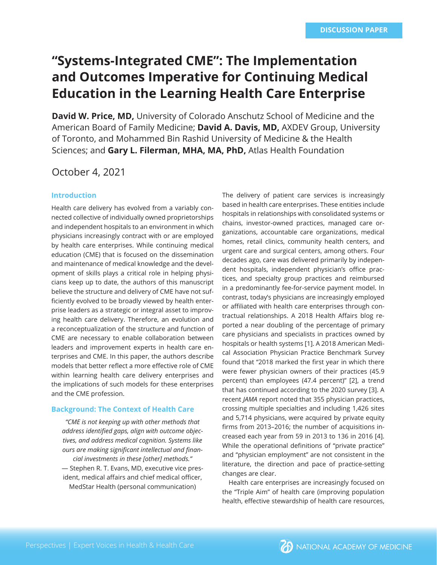# **"Systems-Integrated CME": The Implementation and Outcomes Imperative for Continuing Medical Education in the Learning Health Care Enterprise**

**David W. Price, MD,** University of Colorado Anschutz School of Medicine and the American Board of Family Medicine; **David A. Davis, MD,** AXDEV Group, University of Toronto, and Mohammed Bin Rashid University of Medicine & the Health Sciences; and **Gary L. Filerman, MHA, MA, PhD,** Atlas Health Foundation

# October 4, 2021

#### **Introduction**

Health care delivery has evolved from a variably connected collective of individually owned proprietorships and independent hospitals to an environment in which physicians increasingly contract with or are employed by health care enterprises. While continuing medical education (CME) that is focused on the dissemination and maintenance of medical knowledge and the development of skills plays a critical role in helping physicians keep up to date, the authors of this manuscript believe the structure and delivery of CME have not sufficiently evolved to be broadly viewed by health enterprise leaders as a strategic or integral asset to improving health care delivery. Therefore, an evolution and a reconceptualization of the structure and function of CME are necessary to enable collaboration between leaders and improvement experts in health care enterprises and CME. In this paper, the authors describe models that better reflect a more effective role of CME within learning health care delivery enterprises and the implications of such models for these enterprises and the CME profession.

#### **Background: The Context of Health Care**

*"CME is not keeping up with other methods that*  address identified gaps, align with outcome objec*tives, and address medical cognition. Systems like*  ours are making significant intellectual and finan*cial investments in these [other] methods."* 

— Stephen R. T. Evans, MD, executive vice president, medical affairs and chief medical officer, MedStar Health (personal communication)

The delivery of patient care services is increasingly based in health care enterprises. These entities include hospitals in relationships with consolidated systems or chains, investor-owned practices, managed care organizations, accountable care organizations, medical homes, retail clinics, community health centers, and urgent care and surgical centers, among others. Four decades ago, care was delivered primarily by independent hospitals, independent physician's office practices, and specialty group practices and reimbursed in a predominantly fee-for-service payment model. In contrast, today's physicians are increasingly employed or affiliated with health care enterprises through contractual relationships. A 2018 Health Affairs blog reported a near doubling of the percentage of primary care physicians and specialists in practices owned by hospitals or health systems [1]. A 2018 American Medical Association Physician Practice Benchmark Survey found that "2018 marked the first year in which there were fewer physician owners of their practices (45.9 percent) than employees (47.4 percent)" [2], a trend that has continued according to the 2020 survey [3]. A recent *JAMA* report noted that 355 physician practices, crossing multiple specialties and including 1,426 sites and 5,714 physicians, were acquired by private equity firms from 2013-2016; the number of acquisitions increased each year from 59 in 2013 to 136 in 2016 [4]. While the operational definitions of "private practice" and "physician employment" are not consistent in the literature, the direction and pace of practice-setting changes are clear.

Health care enterprises are increasingly focused on the "Triple Aim" of health care (improving population health, effective stewardship of health care resources,

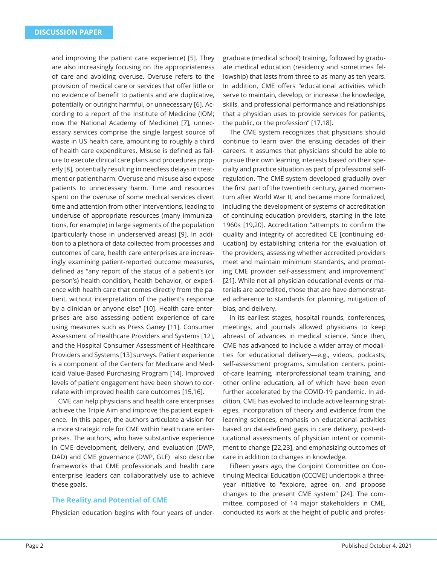and improving the patient care experience) [5]. They are also increasingly focusing on the appropriateness of care and avoiding overuse. Overuse refers to the provision of medical care or services that offer little or no evidence of benefit to patients and are duplicative, potentially or outright harmful, or unnecessary [6]. According to a report of the Institute of Medicine (IOM; now the National Academy of Medicine) [7], unnecessary services comprise the single largest source of waste in US health care, amounting to roughly a third of health care expenditures. Misuse is defined as failure to execute clinical care plans and procedures properly [8], potentially resulting in needless delays in treatment or patient harm. Overuse and misuse also expose patients to unnecessary harm. Time and resources spent on the overuse of some medical services divert time and attention from other interventions, leading to underuse of appropriate resources (many immunizations, for example) in large segments of the population (particularly those in underserved areas) [9]. In addition to a plethora of data collected from processes and outcomes of care, health care enterprises are increasingly examining patient-reported outcome measures, defined as "any report of the status of a patient's (or person's) health condition, health behavior, or experience with health care that comes directly from the patient, without interpretation of the patient's response by a clinician or anyone else" [10]. Health care enterprises are also assessing patient experience of care using measures such as Press Ganey [11], Consumer Assessment of Healthcare Providers and Systems [12], and the Hospital Consumer Assessment of Healthcare Providers and Systems [13] surveys. Patient experience is a component of the Centers for Medicare and Medicaid Value-Based Purchasing Program [14]. Improved levels of patient engagement have been shown to correlate with improved health care outcomes [15,16].

CME can help physicians and health care enterprises achieve the Triple Aim and improve the patient experience. In this paper, the authors articulate a vision for a more strategic role for CME within health care enterprises. The authors, who have substantive experience in CME development, delivery, and evaluation (DWP, DAD) and CME governance (DWP, GLF) also describe frameworks that CME professionals and health care enterprise leaders can collaboratively use to achieve these goals.

#### **The Reality and Potential of CME**

Physician education begins with four years of under-

graduate (medical school) training, followed by graduate medical education (residency and sometimes fellowship) that lasts from three to as many as ten years. In addition, CME offers "educational activities which serve to maintain, develop, or increase the knowledge, skills, and professional performance and relationships that a physician uses to provide services for patients, the public, or the profession" [17,18].

The CME system recognizes that physicians should continue to learn over the ensuing decades of their careers. It assumes that physicians should be able to pursue their own learning interests based on their specialty and practice situation as part of professional selfregulation. The CME system developed gradually over the first part of the twentieth century, gained momentum after World War II, and became more formalized, including the development of systems of accreditation of continuing education providers, starting in the late 1960s [19,20]. Accreditation "attempts to confirm the quality and integrity of accredited CE [continuing education] by establishing criteria for the evaluation of the providers, assessing whether accredited providers meet and maintain minimum standards, and promoting CME provider self-assessment and improvement" [21]. While not all physician educational events or materials are accredited, those that are have demonstrated adherence to standards for planning, mitigation of bias, and delivery.

In its earliest stages, hospital rounds, conferences, meetings, and journals allowed physicians to keep abreast of advances in medical science. Since then, CME has advanced to include a wider array of modalities for educational delivery—e.g., videos, podcasts, self-assessment programs, simulation centers, pointof-care learning, interprofessional team training, and other online education, all of which have been even further accelerated by the COVID-19 pandemic. In addition, CME has evolved to include active learning strategies, incorporation of theory and evidence from the learning sciences, emphasis on educational activities based on data-defined gaps in care delivery, post-educational assessments of physician intent or commitment to change [22,23], and emphasizing outcomes of care in addition to changes in knowledge.

Fifteen years ago, the Conjoint Committee on Continuing Medical Education (CCCME) undertook a threeyear initiative to "explore, agree on, and propose changes to the present CME system" [24]. The committee, composed of 14 major stakeholders in CME, conducted its work at the height of public and profes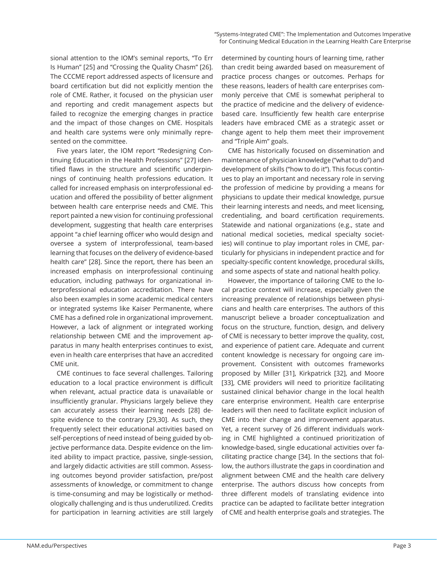sional attention to the IOM's seminal reports, "To Err Is Human" [25] and "Crossing the Quality Chasm" [26]. The CCCME report addressed aspects of licensure and board certification but did not explicitly mention the role of CME. Rather, it focused on the physician user and reporting and credit management aspects but failed to recognize the emerging changes in practice and the impact of those changes on CME. Hospitals and health care systems were only minimally represented on the committee.

Five years later, the IOM report "Redesigning Continuing Education in the Health Professions" [27] identified flaws in the structure and scientific underpinnings of continuing health professions education. It called for increased emphasis on interprofessional education and offered the possibility of better alignment between health care enterprise needs and CME. This report painted a new vision for continuing professional development, suggesting that health care enterprises appoint "a chief learning officer who would design and oversee a system of interprofessional, team-based learning that focuses on the delivery of evidence-based health care" [28]. Since the report, there has been an increased emphasis on interprofessional continuing education, including pathways for organizational interprofessional education accreditation. There have also been examples in some academic medical centers or integrated systems like Kaiser Permanente, where CME has a defined role in organizational improvement. However, a lack of alignment or integrated working relationship between CME and the improvement apparatus in many health enterprises continues to exist, even in health care enterprises that have an accredited CME unit.

CME continues to face several challenges. Tailoring education to a local practice environment is difficult when relevant, actual practice data is unavailable or insufficiently granular. Physicians largely believe they can accurately assess their learning needs [28] despite evidence to the contrary [29,30]. As such, they frequently select their educational activities based on self-perceptions of need instead of being guided by objective performance data. Despite evidence on the limited ability to impact practice, passive, single-session, and largely didactic activities are still common. Assessing outcomes beyond provider satisfaction, pre/post assessments of knowledge, or commitment to change is time-consuming and may be logistically or methodologically challenging and is thus underutilized. Credits for participation in learning activities are still largely determined by counting hours of learning time, rather than credit being awarded based on measurement of practice process changes or outcomes. Perhaps for these reasons, leaders of health care enterprises commonly perceive that CME is somewhat peripheral to the practice of medicine and the delivery of evidencebased care. Insufficiently few health care enterprise leaders have embraced CME as a strategic asset or change agent to help them meet their improvement and "Triple Aim" goals.

CME has historically focused on dissemination and maintenance of physician knowledge ("what to do") and development of skills ("how to do it"). This focus continues to play an important and necessary role in serving the profession of medicine by providing a means for physicians to update their medical knowledge, pursue their learning interests and needs, and meet licensing, credentialing, and board certification requirements. Statewide and national organizations (e.g., state and national medical societies, medical specialty societies) will continue to play important roles in CME, particularly for physicians in independent practice and for specialty-specific content knowledge, procedural skills, and some aspects of state and national health policy.

However, the importance of tailoring CME to the local practice context will increase, especially given the increasing prevalence of relationships between physicians and health care enterprises. The authors of this manuscript believe a broader conceptualization and focus on the structure, function, design, and delivery of CME is necessary to better improve the quality, cost, and experience of patient care. Adequate and current content knowledge is necessary for ongoing care improvement. Consistent with outcomes frameworks proposed by Miller [31], Kirkpatrick [32], and Moore [33], CME providers will need to prioritize facilitating sustained clinical behavior change in the local health care enterprise environment. Health care enterprise leaders will then need to facilitate explicit inclusion of CME into their change and improvement apparatus. Yet, a recent survey of 26 different individuals working in CME highlighted a continued prioritization of knowledge-based, single educational activities over facilitating practice change [34]. In the sections that follow, the authors illustrate the gaps in coordination and alignment between CME and the health care delivery enterprise. The authors discuss how concepts from three different models of translating evidence into practice can be adapted to facilitate better integration of CME and health enterprise goals and strategies. The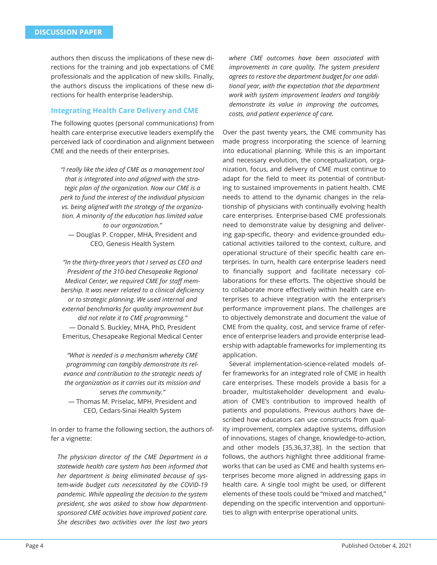authors then discuss the implications of these new directions for the training and job expectations of CME professionals and the application of new skills. Finally, the authors discuss the implications of these new directions for health enterprise leadership.

# **Integrating Health Care Delivery and CME**

The following quotes (personal communications) from health care enterprise executive leaders exemplify the perceived lack of coordination and alignment between CME and the needs of their enterprises.

*"I really like the idea of CME as a management tool that is integrated into and aligned with the strategic plan of the organization. Now our CME is a perk to fund the interest of the individual physician vs. being aligned with the strategy of the organization. A minority of the education has limited value to our organization."*  — Douglas P. Cropper, MHA, President and CEO, Genesis Health System

*"In the thirty-three years that I served as CEO and President of the 310-bed Chesapeake Regional Medical Center, we required CME for staff mem*bership. It was never related to a clinical deficiency *or to strategic planning. We used internal and external benchmarks for quality improvement but did not relate it to CME programming."*  — Donald S. Buckley, MHA, PhD, President Emeritus, Chesapeake Regional Medical Center

*"What is needed is a mechanism whereby CME programming can tangibly demonstrate its relevance and contribution to the strategic needs of the organization as it carries out its mission and serves the community."*  — Thomas M. Priselac, MPH, President and CEO, Cedars-Sinai Health System

In order to frame the following section, the authors offer a vignette:

*The physician director of the CME Department in a statewide health care system has been informed that her department is being eliminated because of system-wide budget cuts necessitated by the COVID-19 pandemic. While appealing the decision to the system president, she was asked to show how departmentsponsored CME activities have improved patient care. She describes two activities over the last two years* 

*where CME outcomes have been associated with improvements in care quality. The system president agrees to restore the department budget for one additional year, with the expectation that the department work with system improvement leaders and tangibly demonstrate its value in improving the outcomes, costs, and patient experience of care.*

Over the past twenty years, the CME community has made progress incorporating the science of learning into educational planning. While this is an important and necessary evolution, the conceptualization, organization, focus, and delivery of CME must continue to adapt for the field to meet its potential of contributing to sustained improvements in patient health. CME needs to attend to the dynamic changes in the relationship of physicians with continually evolving health care enterprises. Enterprise-based CME professionals need to demonstrate value by designing and delivering gap-specific, theory- and evidence-grounded educational activities tailored to the context, culture, and operational structure of their specific health care enterprises. In turn, health care enterprise leaders need to financially support and facilitate necessary collaborations for these efforts. The objective should be to collaborate more effectively within health care enterprises to achieve integration with the enterprise's performance improvement plans. The challenges are to objectively demonstrate and document the value of CME from the quality, cost, and service frame of reference of enterprise leaders and provide enterprise leadership with adaptable frameworks for implementing its application.

Several implementation-science-related models offer frameworks for an integrated role of CME in health care enterprises. These models provide a basis for a broader, multistakeholder development and evaluation of CME's contribution to improved health of patients and populations. Previous authors have described how educators can use constructs from quality improvement, complex adaptive systems, diffusion of innovations, stages of change, knowledge-to-action, and other models [35,36,37,38]. In the section that follows, the authors highlight three additional frameworks that can be used as CME and health systems enterprises become more aligned in addressing gaps in health care. A single tool might be used, or different elements of these tools could be "mixed and matched," depending on the specific intervention and opportunities to align with enterprise operational units.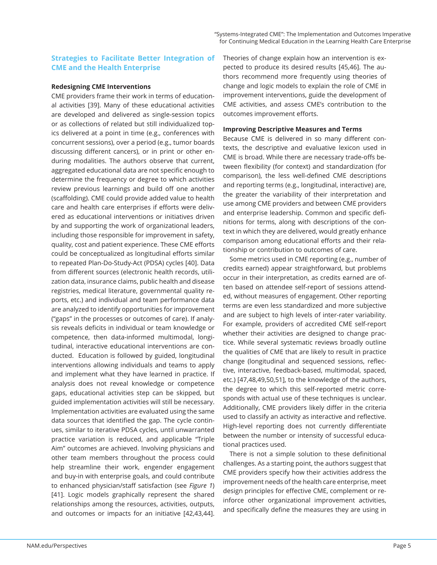# **Strategies to Facilitate Better Integration of CME and the Health Enterprise**

#### **Redesigning CME Interventions**

CME providers frame their work in terms of educational activities [39]. Many of these educational activities are developed and delivered as single-session topics or as collections of related but still individualized topics delivered at a point in time (e.g., conferences with concurrent sessions), over a period (e.g., tumor boards discussing different cancers), or in print or other enduring modalities. The authors observe that current, aggregated educational data are not specific enough to determine the frequency or degree to which activities review previous learnings and build off one another (scaffolding). CME could provide added value to health care and health care enterprises if efforts were delivered as educational interventions or initiatives driven by and supporting the work of organizational leaders, including those responsible for improvement in safety, quality, cost and patient experience. These CME efforts could be conceptualized as longitudinal efforts similar to repeated Plan-Do-Study-Act (PDSA) cycles [40]. Data from different sources (electronic health records, utilization data, insurance claims, public health and disease registries, medical literature, governmental quality reports, etc.) and individual and team performance data are analyzed to identify opportunities for improvement ("gaps" in the processes or outcomes of care). If analysis reveals deficits in individual or team knowledge or competence, then data-informed multimodal, longitudinal, interactive educational interventions are conducted. Education is followed by guided, longitudinal interventions allowing individuals and teams to apply and implement what they have learned in practice. If analysis does not reveal knowledge or competence gaps, educational activities step can be skipped, but guided implementation activities will still be necessary. Implementation activities are evaluated using the same data sources that identified the gap. The cycle continues, similar to iterative PDSA cycles, until unwarranted practice variation is reduced, and applicable "Triple Aim" outcomes are achieved. Involving physicians and other team members throughout the process could help streamline their work, engender engagement and buy-in with enterprise goals, and could contribute to enhanced physician/staff satisfaction (see *Figure 1*) [41]. Logic models graphically represent the shared relationships among the resources, activities, outputs, and outcomes or impacts for an initiative [42,43,44].

Theories of change explain how an intervention is expected to produce its desired results [45,46]. The authors recommend more frequently using theories of change and logic models to explain the role of CME in improvement interventions, guide the development of CME activities, and assess CME's contribution to the outcomes improvement efforts.

#### **Improving Descriptive Measures and Terms**

Because CME is delivered in so many different contexts, the descriptive and evaluative lexicon used in CME is broad. While there are necessary trade-offs between flexibility (for context) and standardization (for comparison), the less well-defined CME descriptions and reporting terms (e.g., longitudinal, interactive) are, the greater the variability of their interpretation and use among CME providers and between CME providers and enterprise leadership. Common and specific definitions for terms, along with descriptions of the context in which they are delivered, would greatly enhance comparison among educational efforts and their relationship or contribution to outcomes of care.

Some metrics used in CME reporting (e.g., number of credits earned) appear straightforward, but problems occur in their interpretation, as credits earned are often based on attendee self-report of sessions attended, without measures of engagement. Other reporting terms are even less standardized and more subjective and are subject to high levels of inter-rater variability. For example, providers of accredited CME self-report whether their activities are designed to change practice. While several systematic reviews broadly outline the qualities of CME that are likely to result in practice change (longitudinal and sequenced sessions, reflective, interactive, feedback-based, multimodal, spaced, etc.) [47,48,49,50,51], to the knowledge of the authors, the degree to which this self-reported metric corresponds with actual use of these techniques is unclear. Additionally, CME providers likely differ in the criteria used to classify an activity as interactive and reflective. High-level reporting does not currently differentiate between the number or intensity of successful educational practices used.

There is not a simple solution to these definitional challenges. As a starting point, the authors suggest that CME providers specify how their activities address the improvement needs of the health care enterprise, meet design principles for effective CME, complement or reinforce other organizational improvement activities, and specifically define the measures they are using in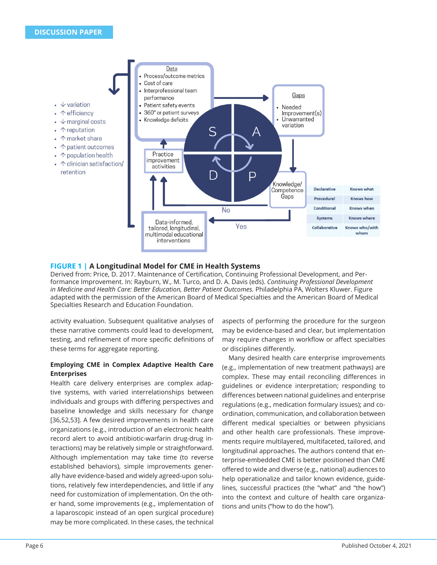

# **FIGURE 1 | A Longitudinal Model for CME in Health Systems**

Derived from: Price, D. 2017. Maintenance of Certification, Continuing Professional Development, and Performance Improvement. In: Rayburn, W., M. Turco, and D. A. Davis (eds). *Continuing Professional Development in Medicine and Health Care: Better Education, Better Patient Outcomes.* Philadelphia PA, Wolters Kluwer. Figure adapted with the permission of the American Board of Medical Specialties and the American Board of Medical Specialties Research and Education Foundation.

activity evaluation. Subsequent qualitative analyses of these narrative comments could lead to development, testing, and refinement of more specific definitions of these terms for aggregate reporting.

# **Employing CME in Complex Adaptive Health Care Enterprises**

Health care delivery enterprises are complex adaptive systems, with varied interrelationships between individuals and groups with differing perspectives and baseline knowledge and skills necessary for change [36,52,53]. A few desired improvements in health care organizations (e.g., introduction of an electronic health record alert to avoid antibiotic-warfarin drug-drug interactions) may be relatively simple or straightforward. Although implementation may take time (to reverse established behaviors), simple improvements generally have evidence-based and widely agreed-upon solutions, relatively few interdependencies, and little if any need for customization of implementation. On the other hand, some improvements (e.g., implementation of a laparoscopic instead of an open surgical procedure) may be more complicated. In these cases, the technical aspects of performing the procedure for the surgeon may be evidence-based and clear, but implementation may require changes in workflow or affect specialties or disciplines differently.

Many desired health care enterprise improvements (e.g., implementation of new treatment pathways) are complex. These may entail reconciling differences in guidelines or evidence interpretation; responding to differences between national guidelines and enterprise regulations (e.g., medication formulary issues); and coordination, communication, and collaboration between different medical specialties or between physicians and other health care professionals. These improvements require multilayered, multifaceted, tailored, and longitudinal approaches. The authors contend that enterprise-embedded CME is better positioned than CME offered to wide and diverse (e.g., national) audiences to help operationalize and tailor known evidence, guidelines, successful practices (the "what" and "the how") into the context and culture of health care organizations and units ("how to do the how").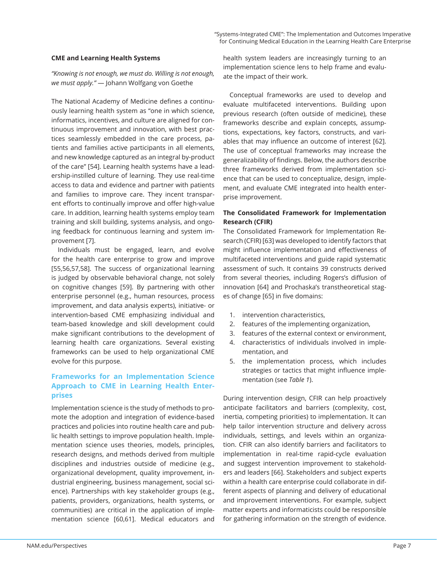# **CME and Learning Health Systems**

*"Knowing is not enough, we must do. Willing is not enough, we must apply."* — Johann Wolfgang von Goethe

The National Academy of Medicine defines a continuously learning health system as "one in which science, informatics, incentives, and culture are aligned for continuous improvement and innovation, with best practices seamlessly embedded in the care process, patients and families active participants in all elements, and new knowledge captured as an integral by-product of the care" [54]. Learning health systems have a leadership-instilled culture of learning. They use real-time access to data and evidence and partner with patients and families to improve care. They incent transparent efforts to continually improve and offer high-value care. In addition, learning health systems employ team training and skill building, systems analysis, and ongoing feedback for continuous learning and system improvement [7].

Individuals must be engaged, learn, and evolve for the health care enterprise to grow and improve [55,56,57,58]. The success of organizational learning is judged by observable behavioral change, not solely on cognitive changes [59]. By partnering with other enterprise personnel (e.g., human resources, process improvement, and data analysis experts), initiative- or intervention-based CME emphasizing individual and team-based knowledge and skill development could make significant contributions to the development of learning health care organizations. Several existing frameworks can be used to help organizational CME evolve for this purpose.

# **Frameworks for an Implementation Science Approach to CME in Learning Health Enterprises**

Implementation science is the study of methods to promote the adoption and integration of evidence-based practices and policies into routine health care and public health settings to improve population health. Implementation science uses theories, models, principles, research designs, and methods derived from multiple disciplines and industries outside of medicine (e.g., organizational development, quality improvement, industrial engineering, business management, social science). Partnerships with key stakeholder groups (e.g., patients, providers, organizations, health systems, or communities) are critical in the application of implementation science [60,61]. Medical educators and health system leaders are increasingly turning to an implementation science lens to help frame and evaluate the impact of their work.

Conceptual frameworks are used to develop and evaluate multifaceted interventions. Building upon previous research (often outside of medicine), these frameworks describe and explain concepts, assumptions, expectations, key factors, constructs, and variables that may influence an outcome of interest [62]. The use of conceptual frameworks may increase the generalizability of findings. Below, the authors describe three frameworks derived from implementation science that can be used to conceptualize, design, implement, and evaluate CME integrated into health enterprise improvement.

# **The Consolidated Framework for Implementation Research (CFIR)**

The Consolidated Framework for Implementation Research (CFIR) [63] was developed to identify factors that might influence implementation and effectiveness of multifaceted interventions and guide rapid systematic assessment of such. It contains 39 constructs derived from several theories, including Rogers's diffusion of innovation [64] and Prochaska's transtheoretical stages of change [65] in five domains:

- 1. intervention characteristics,
- 2. features of the implementing organization,
- 3. features of the external context or environment,
- 4. characteristics of individuals involved in implementation, and
- 5. the implementation process, which includes strategies or tactics that might influence implementation (see *Table 1*).

During intervention design, CFIR can help proactively anticipate facilitators and barriers (complexity, cost, inertia, competing priorities) to implementation. It can help tailor intervention structure and delivery across individuals, settings, and levels within an organization. CFIR can also identify barriers and facilitators to implementation in real-time rapid-cycle evaluation and suggest intervention improvement to stakeholders and leaders [66]. Stakeholders and subject experts within a health care enterprise could collaborate in different aspects of planning and delivery of educational and improvement interventions. For example, subject matter experts and informaticists could be responsible for gathering information on the strength of evidence.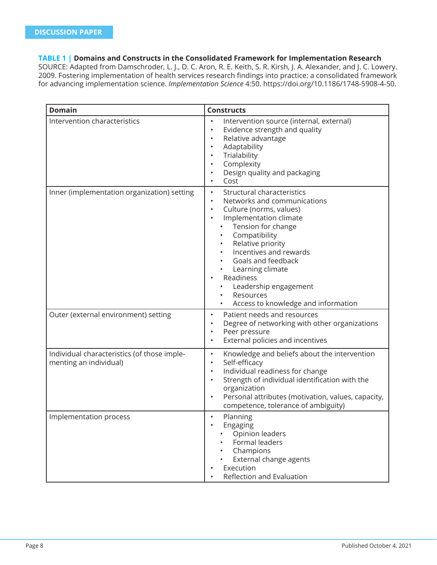# **TABLE 1 | Domains and Constructs in the Consolidated Framework for Implementation Research**

SOURCE: Adapted from Damschroder, L. J., D. C. Aron, R. E. Keith, S. R. Kirsh, J. A. Alexander, and J. C. Lowery. 2009. Fostering implementation of health services research findings into practice: a consolidated framework for advancing implementation science. *Implementation Science* 4:50. https://doi.org/10.1186/1748-5908-4-50.

| <b>Domain</b>                                                         | <b>Constructs</b>                                                                                                                                                                                                                                                                                                                                                  |
|-----------------------------------------------------------------------|--------------------------------------------------------------------------------------------------------------------------------------------------------------------------------------------------------------------------------------------------------------------------------------------------------------------------------------------------------------------|
| Intervention characteristics                                          | Intervention source (internal, external)<br>$\bullet$<br>Evidence strength and quality<br>$\bullet$<br>Relative advantage<br>$\bullet$<br>Adaptability<br>$\bullet$<br>Trialability<br>$\bullet$<br>Complexity<br>$\bullet$<br>Design quality and packaging<br>$\bullet$<br>Cost<br>$\bullet$                                                                      |
| Inner (implementation organization) setting                           | Structural characteristics<br>$\bullet$<br>Networks and communications<br>$\bullet$<br>Culture (norms, values)<br>Implementation climate<br>Tension for change<br>Compatibility<br>Relative priority<br>Incentives and rewards<br>Goals and feedback<br>Learning climate<br>Readiness<br>Leadership engagement<br>Resources<br>Access to knowledge and information |
| Outer (external environment) setting                                  | Patient needs and resources<br>$\bullet$<br>Degree of networking with other organizations<br>$\bullet$<br>Peer pressure<br>$\bullet$<br>External policies and incentives<br>$\bullet$                                                                                                                                                                              |
| Individual characteristics (of those imple-<br>menting an individual) | Knowledge and beliefs about the intervention<br>$\bullet$<br>Self-efficacy<br>$\bullet$<br>Individual readiness for change<br>$\bullet$<br>Strength of individual identification with the<br>$\bullet$<br>organization<br>Personal attributes (motivation, values, capacity,<br>$\bullet$<br>competence, tolerance of ambiguity)                                   |
| Implementation process                                                | Planning<br>$\bullet$<br>Engaging<br>Opinion leaders<br>Formal leaders<br>Champions<br>External change agents<br>Execution<br>Reflection and Evaluation                                                                                                                                                                                                            |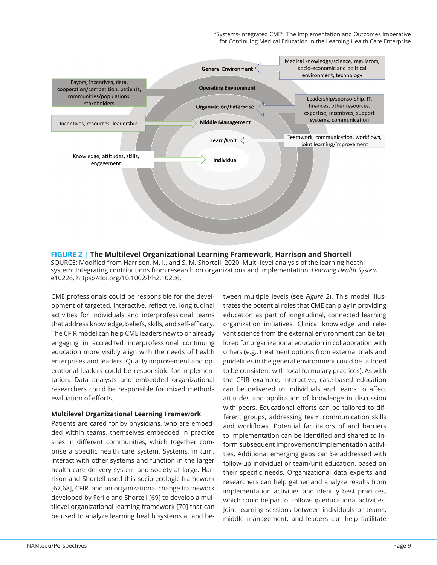"Systems-Integrated CME": The Implementation and Outcomes Imperative for Continuing Medical Education in the Learning Health Care Enterprise



# **FIGURE 2 | The Multilevel Organizational Learning Framework, Harrison and Shortell**

SOURCE: Modified from Harrison, M. I., and S. M. Shortell. 2020. Multi-level analysis of the learning heath system: Integrating contributions from research on organizations and implementation. *Learning Health System*  e10226. https://doi.org/10.1002/lrh2.10226.

CME professionals could be responsible for the development of targeted, interactive, reflective, longitudinal activities for individuals and interprofessional teams that address knowledge, beliefs, skills, and self-efficacy. The CFIR model can help CME leaders new to or already engaging in accredited interprofessional continuing education more visibly align with the needs of health enterprises and leaders. Quality improvement and operational leaders could be responsible for implementation. Data analysts and embedded organizational researchers could be responsible for mixed methods evaluation of efforts.

#### **Multilevel Organizational Learning Framework**

Patients are cared for by physicians, who are embedded within teams, themselves embedded in practice sites in different communities, which together comprise a specific health care system. Systems, in turn, interact with other systems and function in the larger health care delivery system and society at large. Harrison and Shortell used this socio-ecologic framework [67,68], CFIR, and an organizational change framework developed by Ferlie and Shortell [69] to develop a multilevel organizational learning framework [70] that can be used to analyze learning health systems at and between multiple levels (see *Figure 2*). This model illustrates the potential roles that CME can play in providing education as part of longitudinal, connected learning organization initiatives. Clinical knowledge and relevant science from the external environment can be tailored for organizational education in collaboration with others (e.g., treatment options from external trials and guidelines in the general environment could be tailored to be consistent with local formulary practices). As with the CFIR example, interactive, case-based education can be delivered to individuals and teams to affect attitudes and application of knowledge in discussion with peers. Educational efforts can be tailored to different groups, addressing team communication skills and workflows. Potential facilitators of and barriers to implementation can be identified and shared to inform subsequent improvement/implementation activities. Additional emerging gaps can be addressed with follow-up individual or team/unit education, based on their specific needs. Organizational data experts and researchers can help gather and analyze results from implementation activities and identify best practices, which could be part of follow-up educational activities. Joint learning sessions between individuals or teams, middle management, and leaders can help facilitate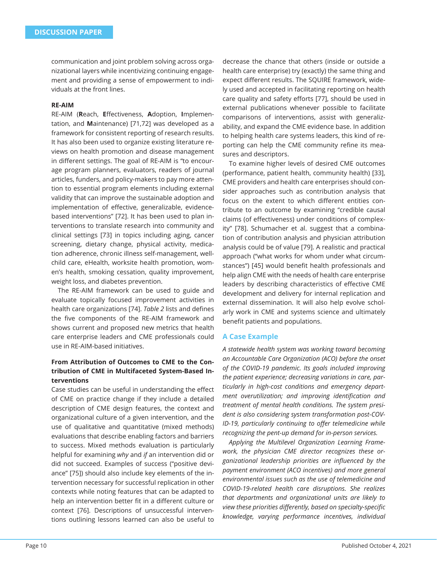communication and joint problem solving across organizational layers while incentivizing continuing engagement and providing a sense of empowerment to individuals at the front lines.

#### **RE-AIM**

RE-AIM (Reach, Effectiveness, Adoption, Implementation, and **M**aintenance) [71,72] was developed as a framework for consistent reporting of research results. It has also been used to organize existing literature reviews on health promotion and disease management in different settings. The goal of RE-AIM is "to encourage program planners, evaluators, readers of journal articles, funders, and policy-makers to pay more attention to essential program elements including external validity that can improve the sustainable adoption and implementation of effective, generalizable, evidencebased interventions" [72]. It has been used to plan interventions to translate research into community and clinical settings [73] in topics including aging, cancer screening, dietary change, physical activity, medication adherence, chronic illness self-management, wellchild care, eHealth, worksite health promotion, women's health, smoking cessation, quality improvement, weight loss, and diabetes prevention.

The RE-AIM framework can be used to guide and evaluate topically focused improvement activities in health care organizations [74]. *Table 2* lists and defines the five components of the RE-AIM framework and shows current and proposed new metrics that health care enterprise leaders and CME professionals could use in RE-AIM-based initiatives.

# **From Attribution of Outcomes to CME to the Contribution of CME in Multifaceted System-Based Interventions**

Case studies can be useful in understanding the effect of CME on practice change if they include a detailed description of CME design features, the context and organizational culture of a given intervention, and the use of qualitative and quantitative (mixed methods) evaluations that describe enabling factors and barriers to success. Mixed methods evaluation is particularly helpful for examining *why* and *if* an intervention did or did not succeed. Examples of success ("positive deviance" [75]) should also include key elements of the intervention necessary for successful replication in other contexts while noting features that can be adapted to help an intervention better fit in a different culture or context [76]. Descriptions of unsuccessful interventions outlining lessons learned can also be useful to

decrease the chance that others (inside or outside a health care enterprise) try (exactly) the same thing and expect different results. The SQUIRE framework, widely used and accepted in facilitating reporting on health care quality and safety efforts [77], should be used in external publications whenever possible to facilitate comparisons of interventions, assist with generalizability, and expand the CME evidence base. In addition to helping health care systems leaders, this kind of reporting can help the CME community refine its measures and descriptors.

To examine higher levels of desired CME outcomes (performance, patient health, community health) [33], CME providers and health care enterprises should consider approaches such as contribution analysis that focus on the extent to which different entities contribute to an outcome by examining "credible causal claims (of effectiveness) under conditions of complexity" [78]. Schumacher et al. suggest that a combination of contribution analysis and physician attribution analysis could be of value [79]. A realistic and practical approach ("what works for whom under what circumstances") [45] would benefit health professionals and help align CME with the needs of health care enterprise leaders by describing characteristics of effective CME development and delivery for internal replication and external dissemination. It will also help evolve scholarly work in CME and systems science and ultimately benefit patients and populations.

# **A Case Example**

*A statewide health system was working toward becoming an Accountable Care Organization (ACO) before the onset of the COVID-19 pandemic. Its goals included improving the patient experience; decreasing variations in care, particularly in high-cost conditions and emergency depart*ment overutilization; and improving identification and *treatment of mental health conditions. The system president is also considering system transformation post-COV-ID-19, particularly continuing to offer telemedicine while recognizing the pent-up demand for in-person services.*

*Applying the Multilevel Organization Learning Framework, the physician CME director recognizes these organizational leadership priorities are infl uenced by the payment environment (ACO incentives) and more general environmental issues such as the use of telemedicine and COVID-19-related health care disruptions. She realizes that departments and organizational units are likely to view these priorities differently, based on specialty-specific knowledge, varying performance incentives, individual*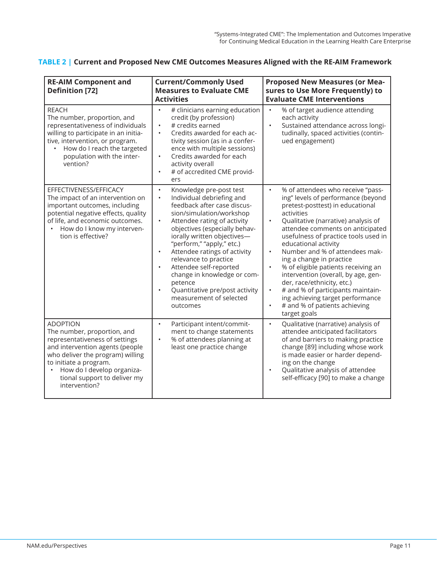|  |  |  |  | TABLE 2   Current and Proposed New CME Outcomes Measures Aligned with the RE-AIM Framework |
|--|--|--|--|--------------------------------------------------------------------------------------------|
|--|--|--|--|--------------------------------------------------------------------------------------------|

| <b>Current/Commonly Used</b><br><b>RE-AIM Component and</b><br><b>Measures to Evaluate CME</b><br><b>Definition [72]</b><br><b>Activities</b>                                                                                                                    |                                                                                                                                                                                                                                                                                                                                                                                                                                                                                                       | <b>Proposed New Measures (or Mea-</b><br>sures to Use More Frequently) to<br><b>Evaluate CME Interventions</b>                                                                                                                                                                                                                                                                                                                                                                                                                                                                                                  |  |
|------------------------------------------------------------------------------------------------------------------------------------------------------------------------------------------------------------------------------------------------------------------|-------------------------------------------------------------------------------------------------------------------------------------------------------------------------------------------------------------------------------------------------------------------------------------------------------------------------------------------------------------------------------------------------------------------------------------------------------------------------------------------------------|-----------------------------------------------------------------------------------------------------------------------------------------------------------------------------------------------------------------------------------------------------------------------------------------------------------------------------------------------------------------------------------------------------------------------------------------------------------------------------------------------------------------------------------------------------------------------------------------------------------------|--|
| <b>REACH</b><br>The number, proportion, and<br>representativeness of individuals<br>willing to participate in an initia-<br>tive, intervention, or program.<br>How do I reach the targeted<br>population with the inter-<br>vention?                             | # clinicians earning education<br>$\bullet$<br>credit (by profession)<br># credits earned<br>$\bullet$<br>Credits awarded for each ac-<br>$\bullet$<br>tivity session (as in a confer-<br>ence with multiple sessions)<br>Credits awarded for each<br>$\bullet$<br>activity overall<br># of accredited CME provid-<br>$\bullet$<br>ers                                                                                                                                                                | % of target audience attending<br>$\bullet$<br>each activity<br>Sustained attendance across longi-<br>tudinally, spaced activities (contin-<br>ued engagement)                                                                                                                                                                                                                                                                                                                                                                                                                                                  |  |
| EFFECTIVENESS/EFFICACY<br>The impact of an intervention on<br>important outcomes, including<br>potential negative effects, quality<br>of life, and economic outcomes.<br>How do I know my interven-<br>tion is effective?                                        | Knowledge pre-post test<br>$\bullet$<br>Individual debriefing and<br>$\bullet$<br>feedback after case discus-<br>sion/simulation/workshop<br>Attendee rating of activity<br>$\bullet$<br>objectives (especially behav-<br>iorally written objectives-<br>"perform," "apply," etc.)<br>Attendee ratings of activity<br>relevance to practice<br>Attendee self-reported<br>$\bullet$<br>change in knowledge or com-<br>petence<br>Quantitative pre/post activity<br>measurement of selected<br>outcomes | % of attendees who receive "pass-<br>$\bullet$<br>ing" levels of performance (beyond<br>pretest-posttest) in educational<br>activities<br>Qualitative (narrative) analysis of<br>attendee comments on anticipated<br>usefulness of practice tools used in<br>educational activity<br>Number and % of attendees mak-<br>ing a change in practice<br>% of eligible patients receiving an<br>$\bullet$<br>intervention (overall, by age, gen-<br>der, race/ethnicity, etc.)<br># and % of participants maintain-<br>ing achieving target performance<br># and % of patients achieving<br>$\bullet$<br>target goals |  |
| <b>ADOPTION</b><br>The number, proportion, and<br>representativeness of settings<br>and intervention agents (people<br>who deliver the program) willing<br>to initiate a program.<br>How do I develop organiza-<br>tional support to deliver my<br>intervention? | Participant intent/commit-<br>$\bullet$<br>ment to change statements<br>% of attendees planning at<br>least one practice change                                                                                                                                                                                                                                                                                                                                                                       | Qualitative (narrative) analysis of<br>$\bullet$<br>attendee anticipated facilitators<br>of and barriers to making practice<br>change [89] including whose work<br>is made easier or harder depend-<br>ing on the change<br>Qualitative analysis of attendee<br>self-efficacy [90] to make a change                                                                                                                                                                                                                                                                                                             |  |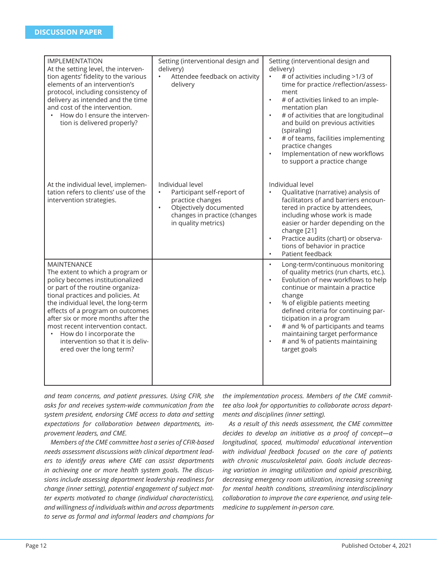| <b>IMPLEMENTATION</b><br>At the setting level, the interven-<br>tion agents' fidelity to the various<br>elements of an intervention's<br>protocol, including consistency of<br>delivery as intended and the time<br>and cost of the intervention.<br>How do I ensure the interven-<br>tion is delivered properly?                                                                                               | Setting (interventional design and<br>delivery)<br>Attendee feedback on activity<br>delivery                                                                     | Setting (interventional design and<br>delivery)<br># of activities including >1/3 of<br>time for practice /reflection/assess-<br>ment<br># of activities linked to an imple-<br>$\bullet$<br>mentation plan<br># of activities that are longitudinal<br>$\bullet$<br>and build on previous activities<br>(spiraling)<br># of teams, facilities implementing<br>practice changes<br>Implementation of new workflows<br>$\bullet$<br>to support a practice change |
|-----------------------------------------------------------------------------------------------------------------------------------------------------------------------------------------------------------------------------------------------------------------------------------------------------------------------------------------------------------------------------------------------------------------|------------------------------------------------------------------------------------------------------------------------------------------------------------------|-----------------------------------------------------------------------------------------------------------------------------------------------------------------------------------------------------------------------------------------------------------------------------------------------------------------------------------------------------------------------------------------------------------------------------------------------------------------|
| At the individual level, implemen-<br>tation refers to clients' use of the<br>intervention strategies.                                                                                                                                                                                                                                                                                                          | Individual level<br>Participant self-report of<br>practice changes<br>Objectively documented<br>$\bullet$<br>changes in practice (changes<br>in quality metrics) | Individual level<br>Qualitative (narrative) analysis of<br>facilitators of and barriers encoun-<br>tered in practice by attendees,<br>including whose work is made<br>easier or harder depending on the<br>change [21]<br>Practice audits (chart) or observa-<br>$\bullet$<br>tions of behavior in practice<br>Patient feedback<br>$\bullet$                                                                                                                    |
| MAINTENANCE<br>The extent to which a program or<br>policy becomes institutionalized<br>or part of the routine organiza-<br>tional practices and policies. At<br>the individual level, the long-term<br>effects of a program on outcomes<br>after six or more months after the<br>most recent intervention contact.<br>How do I incorporate the<br>intervention so that it is deliv-<br>ered over the long term? |                                                                                                                                                                  | Long-term/continuous monitoring<br>$\bullet$<br>of quality metrics (run charts, etc.).<br>Evolution of new workflows to help<br>continue or maintain a practice<br>change<br>% of eligible patients meeting<br>defined criteria for continuing par-<br>ticipation in a program<br># and % of participants and teams<br>$\bullet$<br>maintaining target performance<br># and % of patients maintaining<br>$\bullet$<br>target goals                              |

*and team concerns, and patient pressures. Using CFIR, she asks for and receives system-wide communication from the system president, endorsing CME access to data and setting expectations for collaboration between departments, improvement leaders, and CME.*

*Members of the CME committee host a series of CFIR-based needs assessment discussions with clinical department leaders to identify areas where CME can assist departments in achieving one or more health system goals. The discussions include assessing department leadership readiness for change (inner setting), potential engagement of subject matter experts motivated to change (individual characteristics), and willingness of individuals within and across departments to serve as formal and informal leaders and champions for* 

*the implementation process. Members of the CME committee also look for opportunities to collaborate across departments and disciplines (inner setting).*

*As a result of this needs assessment, the CME committee decides to develop an initiative as a proof of concept—a longitudinal, spaced, multimodal educational intervention with individual feedback focused on the care of patients with chronic musculoskeletal pain. Goals include decreasing variation in imaging utilization and opioid prescribing, decreasing emergency room utilization, increasing screening for mental health conditions, streamlining interdisciplinary collaboration to improve the care experience, and using telemedicine to supplement in-person care.*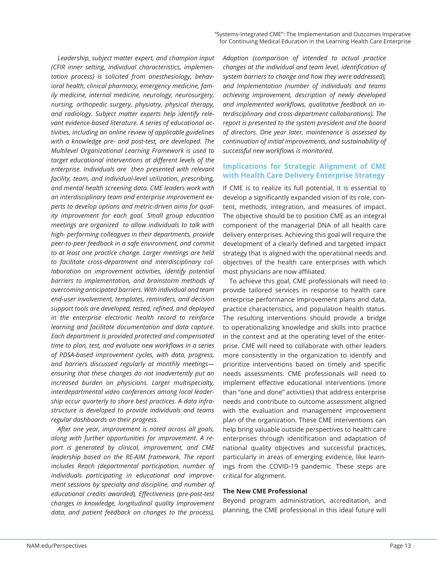*Leadership, subject matter expert, and champion input (CFIR inner setting, individual characteristics, implementation process) is solicited from anesthesiology, behavioral health, clinical pharmacy, emergency medicine, family medicine, internal medicine, neurology, neurosurgery, nursing, orthopedic surgery, physiatry, physical therapy, and radiology. Subject matter experts help identify relevant evidence-based literature. A series of educational activities, including an online review of applicable guidelines with a knowledge pre- and post-test, are developed. The Multilevel Organizational Learning Framework is used to target educational interventions at different levels of the enterprise. Individuals are then presented with relevant facility, team, and individual-level utilization, prescribing, and mental health screening data. CME leaders work with an interdisciplinary team and enterprise improvement experts to develop options and metric-driven aims for quality improvement for each goal. Small group education meetings are organized to allow individuals to talk with high- performing colleagues in their departments, provide peer-to-peer feedback in a safe environment, and commit to at least one practice change. Larger meetings are held to facilitate cross-department and interdisciplinary collaboration on improvement activities, identify potential barriers to implementation, and brainstorm methods of overcoming anticipated barriers. With individual and team end-user involvement, templates, reminders, and decision support tools are developed, tested, refi ned, and deployed in the enterprise electronic health record to reinforce learning and facilitate documentation and data capture. Each department is provided protected and compensated*  time to plan, test, and evaluate new workflows in a series *of PDSA-based improvement cycles, with data, progress, and barriers discussed regularly at monthly meetings ensuring that these changes do not inadvertently put an increased burden on physicians. Larger multispecialty, interdepartmental video conferences among local leadership occur quarterly to share best practices. A data infrastructure is developed to provide individuals and teams regular dashboards on their progress.*

*After one year, improvement is noted across all goals, along with further opportunities for improvement. A report is generated by clinical, improvement, and CME leadership based on the RE-AIM framework. The report includes Reach (departmental participation, number of individuals participating in educational and improvement sessions by specialty and discipline, and number of educational credits awarded), Eff ectiveness (pre-post-test changes in knowledge, longitudinal quality improvement data, and patient feedback on changes to the process),* 

*Adoption (comparison of intended to actual practice changes at the individual and team level, identification of system barriers to change and how they were addressed), and Implementation (number of individuals and teams achieving improvement, description of newly developed*  and implemented workflows, qualitative feedback on in*terdisciplinary and cross-department collaborations). The report is presented to the system president and the board of directors. One year later, maintenance is assessed by continuation of initial improvements, and sustainability of successful new workfl ows is monitored.*

## **Implications for Strategic Alignment of CME with Health Care Delivery Enterprise Strategy**

If CME is to realize its full potential, it is essential to develop a significantly expanded vision of its role, content, methods, integration, and measures of impact. The objective should be to position CME as an integral component of the managerial DNA of all health care delivery enterprises. Achieving this goal will require the development of a clearly defined and targeted impact strategy that is aligned with the operational needs and objectives of the health care enterprises with which most physicians are now affiliated.

To achieve this goal, CME professionals will need to provide tailored services in response to health care enterprise performance improvement plans and data, practice characteristics, and population health status. The resulting interventions should provide a bridge to operationalizing knowledge and skills into practice in the context and at the operating level of the enterprise. CME will need to collaborate with other leaders more consistently in the organization to identify and prioritize interventions based on timely and specific needs assessments. CME professionals will need to implement effective educational interventions (more than "one and done" activities) that address enterprise needs and contribute to outcome assessment aligned with the evaluation and management improvement plan of the organization. These CME interventions can help bring valuable outside perspectives to health care enterprises through identification and adaptation of national quality objectives and successful practices, particularly in areas of emerging evidence, like learnings from the COVID-19 pandemic. These steps are critical for alignment.

#### **The New CME Professional**

Beyond program administration, accreditation, and planning, the CME professional in this ideal future will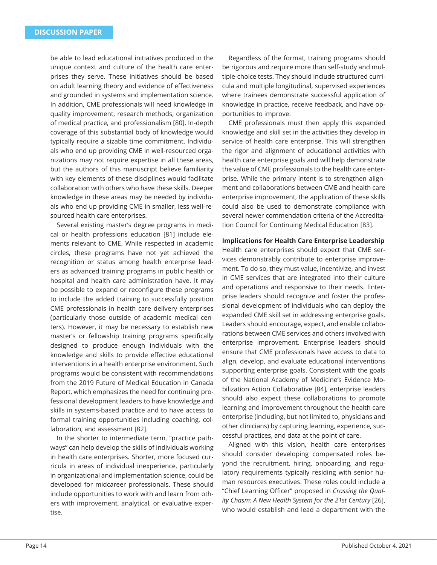be able to lead educational initiatives produced in the unique context and culture of the health care enterprises they serve. These initiatives should be based on adult learning theory and evidence of effectiveness and grounded in systems and implementation science. In addition, CME professionals will need knowledge in quality improvement, research methods, organization of medical practice, and professionalism [80]. In-depth coverage of this substantial body of knowledge would typically require a sizable time commitment. Individuals who end up providing CME in well-resourced organizations may not require expertise in all these areas, but the authors of this manuscript believe familiarity with key elements of these disciplines would facilitate collaboration with others who have these skills. Deeper knowledge in these areas may be needed by individuals who end up providing CME in smaller, less well-resourced health care enterprises.

Several existing master's degree programs in medical or health professions education [81] include elements relevant to CME. While respected in academic circles, these programs have not yet achieved the recognition or status among health enterprise leaders as advanced training programs in public health or hospital and health care administration have. It may be possible to expand or reconfigure these programs to include the added training to successfully position CME professionals in health care delivery enterprises (particularly those outside of academic medical centers). However, it may be necessary to establish new master's or fellowship training programs specifically designed to produce enough individuals with the knowledge and skills to provide effective educational interventions in a health enterprise environment. Such programs would be consistent with recommendations from the 2019 Future of Medical Education in Canada Report, which emphasizes the need for continuing professional development leaders to have knowledge and skills in systems-based practice and to have access to formal training opportunities including coaching, collaboration, and assessment [82].

In the shorter to intermediate term, "practice pathways" can help develop the skills of individuals working in health care enterprises. Shorter, more focused curricula in areas of individual inexperience, particularly in organizational and implementation science, could be developed for midcareer professionals. These should include opportunities to work with and learn from others with improvement, analytical, or evaluative expertise.

Regardless of the format, training programs should be rigorous and require more than self-study and multiple-choice tests. They should include structured curricula and multiple longitudinal, supervised experiences where trainees demonstrate successful application of knowledge in practice, receive feedback, and have opportunities to improve.

CME professionals must then apply this expanded knowledge and skill set in the activities they develop in service of health care enterprise. This will strengthen the rigor and alignment of educational activities with health care enterprise goals and will help demonstrate the value of CME professionals to the health care enterprise. While the primary intent is to strengthen alignment and collaborations between CME and health care enterprise improvement, the application of these skills could also be used to demonstrate compliance with several newer commendation criteria of the Accreditation Council for Continuing Medical Education [83].

#### **Implications for Health Care Enterprise Leadership**

Health care enterprises should expect that CME services demonstrably contribute to enterprise improvement. To do so, they must value, incentivize, and invest in CME services that are integrated into their culture and operations and responsive to their needs. Enterprise leaders should recognize and foster the professional development of individuals who can deploy the expanded CME skill set in addressing enterprise goals. Leaders should encourage, expect, and enable collaborations between CME services and others involved with enterprise improvement. Enterprise leaders should ensure that CME professionals have access to data to align, develop, and evaluate educational interventions supporting enterprise goals. Consistent with the goals of the National Academy of Medicine's Evidence Mobilization Action Collaborative [84], enterprise leaders should also expect these collaborations to promote learning and improvement throughout the health care enterprise (including, but not limited to, physicians and other clinicians) by capturing learning, experience, successful practices, and data at the point of care.

Aligned with this vision, health care enterprises should consider developing compensated roles beyond the recruitment, hiring, onboarding, and regulatory requirements typically residing with senior human resources executives. These roles could include a "Chief Learning Officer" proposed in *Crossing the Quality Chasm: A New Health System for the 21st Century* [26], who would establish and lead a department with the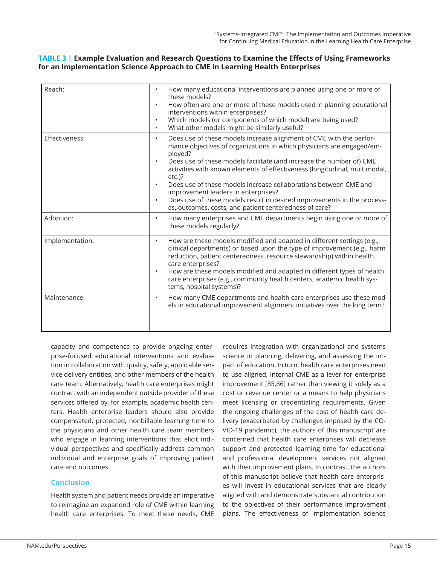# **TABLE 3 | Example Evaluation and Research Questions to Examine the Eff ects of Using Frameworks for an Implementation Science Approach to CME in Learning Health Enterprises**

| Reach:          | How many educational interventions are planned using one or more of<br>these models?<br>How often are one or more of these models used in planning educational<br>$\bullet$<br>interventions within enterprises?<br>Which models (or components of which model) are being used?<br>What other models might be similarly useful?<br>$\bullet$                                                                                                                                                                                                                                                         |
|-----------------|------------------------------------------------------------------------------------------------------------------------------------------------------------------------------------------------------------------------------------------------------------------------------------------------------------------------------------------------------------------------------------------------------------------------------------------------------------------------------------------------------------------------------------------------------------------------------------------------------|
| Effectiveness:  | Does use of these models increase alignment of CME with the perfor-<br>$\bullet$<br>mance objectives of organizations in which physicians are engaged/em-<br>ployed?<br>Does use of these models facilitate (and increase the number of) CME<br>$\bullet$<br>activities with known elements of effectiveness (longitudinal, multimodal,<br>$etc.$ )?<br>Does use of these models increase collaborations between CME and<br>improvement leaders in enterprises?<br>Does use of these models result in desired improvements in the process-<br>es, outcomes, costs, and patient centeredness of care? |
| Adoption:       | How many enterprises and CME departments begin using one or more of<br>$\bullet$<br>these models regularly?                                                                                                                                                                                                                                                                                                                                                                                                                                                                                          |
| Implementation: | How are these models modified and adapted in different settings (e.g.,<br>$\bullet$<br>clinical departments) or based upon the type of improvement (e.g., harm<br>reduction, patient centeredness, resource stewardship) within health<br>care enterprises?<br>How are these models modified and adapted in different types of health<br>care enterprises (e.g., community health centers, academic health sys-<br>tems, hospital systems)?                                                                                                                                                          |
| Maintenance:    | How many CME departments and health care enterprises use these mod-<br>$\bullet$<br>els in educational improvement alignment initiatives over the long term?                                                                                                                                                                                                                                                                                                                                                                                                                                         |

capacity and competence to provide ongoing enterprise-focused educational interventions and evaluation in collaboration with quality, safety, applicable service delivery entities, and other members of the health care team. Alternatively, health care enterprises might contract with an independent outside provider of these services offered by, for example, academic health centers. Health enterprise leaders should also provide compensated, protected, nonbillable learning time to the physicians and other health care team members who engage in learning interventions that elicit individual perspectives and specifically address common individual and enterprise goals of improving patient care and outcomes.

# **Conclusion**

Health system and patient needs provide an imperative to reimagine an expanded role of CME within learning health care enterprises. To meet these needs, CME

requires integration with organizational and systems science in planning, delivering, and assessing the impact of education. In turn, health care enterprises need to use aligned, internal CME as a lever for enterprise improvement [85,86] rather than viewing it solely as a cost or revenue center or a means to help physicians meet licensing or credentialing requirements. Given the ongoing challenges of the cost of health care delivery (exacerbated by challenges imposed by the CO-VID-19 pandemic), the authors of this manuscript are concerned that health care enterprises will decrease support and protected learning time for educational and professional development services not aligned with their improvement plans. In contrast, the authors of this manuscript believe that health care enterprises will invest in educational services that are clearly aligned with and demonstrate substantial contribution to the objectives of their performance improvement plans. The effectiveness of implementation science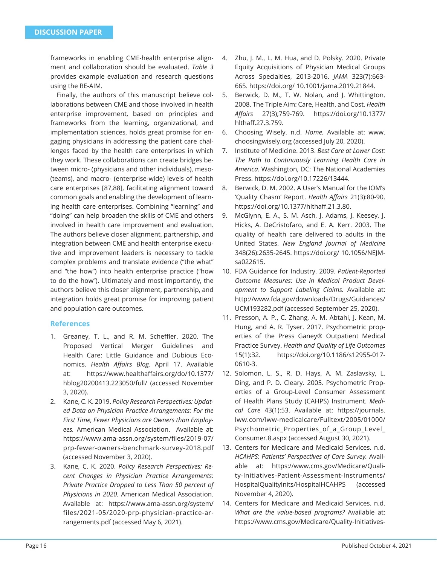frameworks in enabling CME-health enterprise alignment and collaboration should be evaluated. *Table 3* provides example evaluation and research questions using the RE-AIM.

Finally, the authors of this manuscript believe collaborations between CME and those involved in health enterprise improvement, based on principles and frameworks from the learning, organizational, and implementation sciences, holds great promise for engaging physicians in addressing the patient care challenges faced by the health care enterprises in which they work. These collaborations can create bridges between micro- (physicians and other individuals), meso- (teams), and macro- (enterprise-wide) levels of health care enterprises [87,88], facilitating alignment toward common goals and enabling the development of learning health care enterprises. Combining "learning" and "doing" can help broaden the skills of CME and others involved in health care improvement and evaluation. The authors believe closer alignment, partnership, and integration between CME and health enterprise executive and improvement leaders is necessary to tackle complex problems and translate evidence ("the what" and "the how") into health enterprise practice ("how to do the how"). Ultimately and most importantly, the authors believe this closer alignment, partnership, and integration holds great promise for improving patient and population care outcomes.

# **References**

- 1. Greaney, T. L., and R. M. Scheffler. 2020. The Proposed Vertical Merger Guidelines and Health Care: Little Guidance and Dubious Economics. *Health Affairs Blog*, April 17. Available at: https://www.healthaffairs.org/do/10.1377/ hblog20200413.223050/full/ (accessed November 3, 2020).
- 2. Kane, C. K. 2019. *Policy Research Perspectives: Updated Data on Physician Practice Arrangements: For the First Time, Fewer Physicians are Owners than Employees.* American Medical Association. Available at: https://www.ama-assn.org/system/files/2019-07/ prp-fewer-owners-benchmark-survey-2018.pdf (accessed November 3, 2020).
- 3. Kane, C. K. 2020. *Policy Research Perspectives: Recent Changes in Physician Practice Arrangements: Private Practice Dropped to Less Than 50 percent of Physicians in 2020.* American Medical Association. Available at: https://www.ama-assn.org/system/ files/2021-05/2020-prp-physician-practice-arrangements.pdf (accessed May 6, 2021).
- 4. Zhu, J. M., L. M. Hua, and D. Polsky. 2020. Private Equity Acquisitions of Physician Medical Groups Across Specialties, 2013-2016. *JAMA* 323(7):663- 665. https://doi.org/ 10.1001/jama.2019.21844.
- 5. Berwick, D. M., T. W. Nolan, and J. Whittington. 2008. The Triple Aim: Care, Health, and Cost. *Health Aff airs* 27(3);759-769. https://doi.org/10.1377/ hlthaff.27.3.759.
- 6. Choosing Wisely. n.d. *Home.* Available at: www. choosingwisely.org (accessed July 20, 2020).
- 7. Institute of Medicine. 2013. *Best Care at Lower Cost: The Path to Continuously Learning Health Care in America.* Washington, DC: The National Academies Press. https://doi.org/10.17226/13444.
- 8. Berwick, D. M. 2002. A User's Manual for the IOM's 'Quality Chasm' Report. *Health Affairs* 21(3):80-90. https://doi.org/10.1377/hlthaff.21.3.80.
- 9. McGlynn, E. A., S. M. Asch, J. Adams, J. Keesey, J. Hicks, A. DeCristofaro, and E. A. Kerr. 2003. The quality of health care delivered to adults in the United States. *New England Journal of Medicine*  348(26):2635-2645. https://doi.org/ 10.1056/NEJMsa022615.
- 10. FDA Guidance for Industry. 2009. *Patient-Reported Outcome Measures: Use in Medical Product Development to Support Labeling Claims.* Available at: http://www.fda.gov/downloads/Drugs/Guidances/ UCM193282.pdf (accessed September 25, 2020).
- 11. Presson, A. P., C. Zhang, A. M. Abtahi, J. Kean, M. Hung, and A. R. Tyser. 2017. Psychometric properties of the Press Ganey® Outpatient Medical Practice Survey. *Health and Quality of Life Outcomes* 15(1):32. https://doi.org/10.1186/s12955-017- 0610-3.
- 12. Solomon, L. S., R. D. Hays, A. M. Zaslavsky, L. Ding, and P. D. Cleary. 2005. Psychometric Properties of a Group-Level Consumer Assessment of Health Plans Study (CAHPS) Instrument. *Medical Care* 43(1):53. Available at: https://journals. lww.com/lww-medicalcare/Fulltext/2005/01000/ Psychometric Properties of a Group Level Consumer.8.aspx (accessed August 30, 2021).
- 13. Centers for Medicare and Medicaid Services. n.d. *HCAHPS: Patients' Perspectives of Care Survey.* Available at: https://www.cms.gov/Medicare/Quality-Initiatives-Patient-Assessment-Instruments/ HospitalQualityInits/HospitalHCAHPS (accessed November 4, 2020).
- 14. Centers for Medicare and Medicaid Services. n.d. *What are the value-based programs?* Available at: https://www.cms.gov/Medicare/Quality-Initiatives-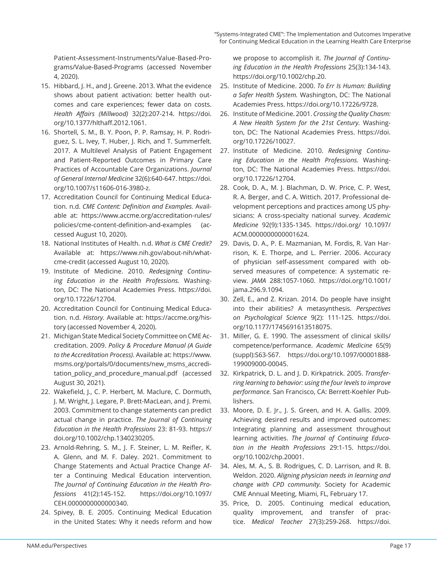Patient-Assessment-Instruments/Value-Based-Programs/Value-Based-Programs (accessed November 4, 2020).

- 15. Hibbard, J. H., and J. Greene. 2013. What the evidence shows about patient activation: better health outcomes and care experiences; fewer data on costs. *Health Aff airs (Millwood)* 32(2):207-214. https://doi. org/10.1377/hlthaff .2012.1061.
- 16. Shortell, S. M., B. Y. Poon, P. P. Ramsay, H. P. Rodriguez, S. L. Ivey, T. Huber, J. Rich, and T. Summerfelt. 2017. A Multilevel Analysis of Patient Engagement and Patient-Reported Outcomes in Primary Care Practices of Accountable Care Organizations. *Journal of General Internal Medicine* 32(6):640-647. https://doi. org/10.1007/s11606-016-3980-z.
- 17. Accreditation Council for Continuing Medical Education. n.d. *CME Content: Definition and Examples.* Available at: https://www.accme.org/accreditation-rules/ policies/cme-content-definition-and-examples (accessed August 10, 2020).
- 18. National Institutes of Health. n.d. *What is CME Credit?*  Available at: https://www.nih.gov/about-nih/whatcme-credit (accessed August 10, 2020).
- 19. Institute of Medicine. 2010. *Redesigning Continuing Education in the Health Professions.* Washington, DC: The National Academies Press. https://doi. org/10.17226/12704.
- 20. Accreditation Council for Continuing Medical Education. n.d. *History.* Available at: https://accme.org/history (accessed November 4, 2020).
- 21. Michigan State Medical Society Committee on CME Accreditation. 2009. *Policy & Procedure Manual (A Guide to the Accreditation Process).* Available at: https://www. msms.org/portals/0/documents/new\_msms\_accreditation\_policy\_and\_procedure\_manual.pdf (accessed August 30, 2021).
- 22. Wakefield, J., C. P. Herbert, M. Maclure, C. Dormuth, J. M. Wright, J. Legare, P. Brett-MacLean, and J. Premi. 2003. Commitment to change statements can predict actual change in practice. *The Journal of Continuing Education in the Health Professions* 23: 81-93. https:// doi.org/10.1002/chp.1340230205.
- 23. Arnold-Rehring, S. M., J. F. Steiner, L. M. Reifler, K. A. Glenn, and M. F. Daley. 2021. Commitment to Change Statements and Actual Practice Change After a Continuing Medical Education intervention. *The Journal of Continuing Education in the Health Professions* 41(2):145-152. https://doi.org/10.1097/ CEH.0000000000000340.
- 24. Spivey, B. E. 2005. Continuing Medical Education in the United States: Why it needs reform and how

we propose to accomplish it. *The Journal of Continuing Education in the Health Professions* 25(3):134-143. https://doi.org/10.1002/chp.20.

- 25. Institute of Medicine. 2000. *To Err Is Human: Building a Safer Health System.* Washington, DC: The National Academies Press. https://doi.org/10.17226/9728.
- 26. Institute of Medicine. 2001. *Crossing the Quality Chasm: A New Health System for the 21st Century.* Washington, DC: The National Academies Press. https://doi. org/10.17226/10027.
- 27. Institute of Medicine. 2010. *Redesigning Continuing Education in the Health Professions.* Washington, DC: The National Academies Press. https://doi. org/10.17226/12704.
- 28. Cook, D. A., M. J. Blachman, D. W. Price, C. P. West, R. A. Berger, and C. A. Wittich. 2017. Professional development perceptions and practices among US physicians: A cross-specialty national survey. *Academic Medicine* 92(9):1335-1345. https://doi.org/ 10.1097/ ACM.0000000000001624.
- 29. Davis, D. A., P. E. Mazmanian, M. Fordis, R. Van Harrison, K. E. Thorpe, and L. Perrier. 2006. Accuracy of physician self-assessment compared with observed measures of competence: A systematic review. *JAMA* 288:1057-1060. https://doi.org/10.1001/ jama.296.9.1094.
- 30. Zell, E., and Z. Krizan. 2014. Do people have insight into their abilities? A metasynthesis. *Perspectives on Psychological Science* 9(2): 111-125. https://doi. org/10.1177/1745691613518075.
- 31. Miller, G. E. 1990. The assessment of clinical skills/ competence/performance. *Academic Medicine* 65(9) (suppl):S63-S67. https://doi.org/10.1097/00001888- 199009000-00045.
- 32. Kirkpatrick, D. L. and J. D. Kirkpatrick. 2005. *Transferring learning to behavior: using the four levels to improve performance.* San Francisco, CA: Berrett-Koehler Publishers.
- 33. Moore, D. E. Jr., J. S. Green, and H. A. Gallis. 2009. Achieving desired results and improved outcomes: Integrating planning and assessment throughout learning activities. *The Journal of Continuing Education in the Health Professions* 29:1-15. https://doi. org/10.1002/chp.20001.
- 34. Ales, M. A., S. B. Rodrigues, C. D. Larrison, and R. B. Weldon. 2020. *Aligning physician needs in learning and change with CPD community.* Society for Academic CME Annual Meeting, Miami, FL, February 17.
- 35. Price, D. 2005. Continuing medical education, quality improvement, and transfer of practice. *Medical Teacher* 27(3):259-268. https://doi.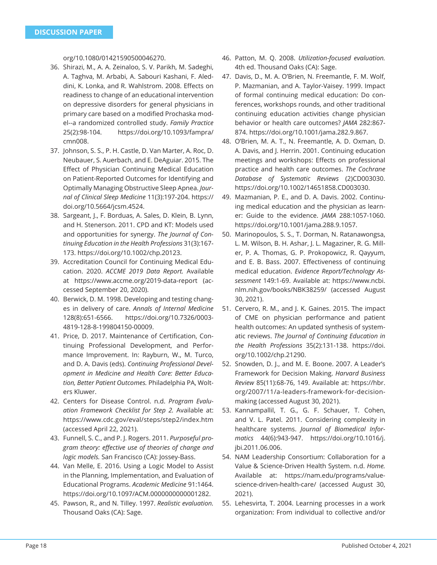org/10.1080/01421590500046270.

- 36. Shirazi, M., A. A. Zeinaloo, S. V. Parikh, M. Sadeghi, A. Taghva, M. Arbabi, A. Sabouri Kashani, F. Aleddini, K. Lonka, and R. Wahlstrom. 2008. Effects on readiness to change of an educational intervention on depressive disorders for general physicians in primary care based on a modified Prochaska model--a randomized controlled study. *Family Practice* 25(2):98-104. https://doi.org/10.1093/fampra/ cmn008.
- 37. Johnson, S. S., P. H. Castle, D. Van Marter, A. Roc, D. Neubauer, S. Auerbach, and E. DeAguiar. 2015. The Effect of Physician Continuing Medical Education on Patient-Reported Outcomes for Identifying and Optimally Managing Obstructive Sleep Apnea. *Journal of Clinical Sleep Medicine* 11(3):197-204. https:// doi.org/10.5664/jcsm.4524.
- 38. Sargeant, J., F. Borduas, A. Sales, D. Klein, B. Lynn, and H. Stenerson. 2011. CPD and KT: Models used and opportunities for synergy. *The Journal of Continuing Education in the Health Professions* 31(3):167- 173. https://doi.org/10.1002/chp.20123.
- 39. Accreditation Council for Continuing Medical Education. 2020. *ACCME 2019 Data Report.* Available at https://www.accme.org/2019-data-report (accessed September 20, 2020).
- 40. Berwick, D. M. 1998. Developing and testing changes in delivery of care. *Annals of Internal Medicine*  128(8):651-6566. https://doi.org/10.7326/0003- 4819-128-8-199804150-00009.
- 41. Price, D. 2017. Maintenance of Certification, Continuing Professional Development, and Performance Improvement. In: Rayburn, W., M. Turco, and D. A. Davis (eds). *Continuing Professional Development in Medicine and Health Care: Better Education, Better Patient Outcomes.* Philadelphia PA, Wolters Kluwer.
- 42. Centers for Disease Control. n.d. *Program Evaluation Framework Checklist for Step 2.* Available at: https://www.cdc.gov/eval/steps/step2/index.htm (accessed April 22, 2021).
- 43. Funnell, S. C., and P. J. Rogers. 2011. *Purposeful program theory: eff ective use of theories of change and logic models.* San Francisco (CA): Jossey-Bass.
- 44. Van Melle, E. 2016. Using a Logic Model to Assist in the Planning, Implementation, and Evaluation of Educational Programs. *Academic Medicine* 91:1464. https://doi.org/10.1097/ACM.0000000000001282.
- 45. Pawson, R., and N. Tilley. 1997. *Realistic evaluation.*  Thousand Oaks (CA): Sage.
- 46. Patton, M. Q. 2008. *Utilization-focused evaluation.* 4th ed. Thousand Oaks (CA): Sage.
- 47. Davis, D., M. A. O'Brien, N. Freemantle, F. M. Wolf, P. Mazmanian, and A. Taylor-Vaisey. 1999. Impact of formal continuing medical education: Do conferences, workshops rounds, and other traditional continuing education activities change physician behavior or health care outcomes? *JAMA* 282:867- 874. https://doi.org/10.1001/jama.282.9.867.
- 48. O'Brien, M. A. T., N. Freemantle, A. D. Oxman, D. A. Davis, and J. Herrin. 2001. Continuing education meetings and workshops: Effects on professional practice and health care outcomes. *The Cochrane Database of Systematic Reviews* (2)CD003030. https://doi.org/10.1002/14651858.CD003030.
- 49. Mazmanian, P. E., and D. A. Davis. 2002. Continuing medical education and the physician as learner: Guide to the evidence. *JAMA* 288:1057-1060. https://doi.org/10.1001/jama.288.9.1057.
- 50. Marinopoulos, S. S., T. Dorman, N. Ratanawongsa, L. M. Wilson, B. H. Ashar, J. L. Magaziner, R. G. Miller, P. A. Thomas, G. P. Prokopowicz, R. Qayyum, and E. B. Bass. 2007. Effectiveness of continuing medical education. *Evidence Report/Technology Assessment* 149:1-69. Available at: https://www.ncbi. nlm.nih.gov/books/NBK38259/ (accessed August 30, 2021).
- 51. Cervero, R. M., and J. K. Gaines. 2015. The impact of CME on physician performance and patient health outcomes: An updated synthesis of systematic reviews. *The Journal of Continuing Education in the Health Professions* 35(2):131-138. https://doi. org/10.1002/chp.21290.
- 52. Snowden, D. J., and M. E. Boone. 2007. A Leader's Framework for Decision Making. *Harvard Business Review* 85(11):68-76, 149. Available at: https://hbr. org/2007/11/a-leaders-framework-for-decisionmaking (accessed August 30, 2021).
- 53. Kannampallil, T. G., G. F. Schauer, T. Cohen, and V. L. Patel. 2011. Considering complexity in healthcare systems. *Journal of Biomedical Informatics* 44(6):943-947. https://doi.org/10.1016/j. jbi.2011.06.006.
- 54. NAM Leadership Consortium: Collaboration for a Value & Science-Driven Health System. n.d. *Home.*  Available at: https://nam.edu/programs/valuescience-driven-health-care/ (accessed August 30, 2021).
- 55. Lehesvirta, T. 2004. Learning processes in a work organization: From individual to collective and/or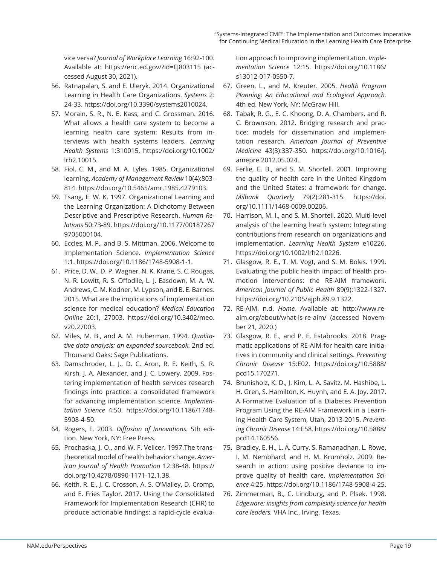vice versa? *Journal of Workplace Learning* 16:92-100. Available at: https://eric.ed.gov/?id=EJ803115 (accessed August 30, 2021).

- 56. Ratnapalan, S. and E. Uleryk. 2014. Organizational Learning in Health Care Organizations. *Systems* 2: 24-33. https://doi.org/10.3390/systems2010024.
- 57. Morain, S. R., N. E. Kass, and C. Grossman. 2016. What allows a health care system to become a learning health care system: Results from interviews with health systems leaders. *Learning Health Systems* 1:310015. https://doi.org/10.1002/ lrh2.10015.
- 58. Fiol, C. M., and M. A. Lyles. 1985. Organizational learning. *Academy of Management Review* 10(4):803- 814. https://doi.org/10.5465/amr.1985.4279103.
- 59. Tsang, E. W. K. 1997. Organizational Learning and the Learning Organization: A Dichotomy Between Descriptive and Prescriptive Research. *Human Relations* 50:73-89. https://doi.org/10.1177/00187267 9705000104.
- 60. Eccles, M. P., and B. S. Mittman. 2006. Welcome to Implementation Science. *Implementation Science*  1:1. https://doi.org/10.1186/1748-5908-1-1.
- 61. Price, D. W., D. P. Wagner, N. K. Krane, S. C. Rougas, N. R. Lowitt, R. S. Offodile, L. J. Easdown, M. A. W. Andrews, C. M. Kodner, M. Lypson, and B. E. Barnes. 2015. What are the implications of implementation science for medical education? *Medical Education Online* 20:1, 27003. https://doi.org/10.3402/meo. v20.27003.
- 62. Miles, M. B., and A. M. Huberman. 1994. *Qualitative data analysis: an expanded sourcebook.* 2nd ed. Thousand Oaks: Sage Publications.
- 63. Damschroder, L. J., D. C. Aron, R. E. Keith, S. R. Kirsh, J. A. Alexander, and J. C. Lowery. 2009. Fostering implementation of health services research findings into practice: a consolidated framework for advancing implementation science. *Implementation Science* 4:50. https://doi.org/10.1186/1748- 5908-4-50.
- 64. Rogers, E. 2003. *Diff usion of Innovations.* 5th edition. New York, NY: Free Press.
- 65. Prochaska, J. O., and W. F. Velicer. 1997.The transtheoretical model of health behavior change. *American Journal of Health Promotion* 12:38-48. https:// doi.org/10.4278/0890-1171-12.1.38.
- 66. Keith, R. E., J. C. Crosson, A. S. O'Malley, D. Cromp, and E. Fries Taylor. 2017. Using the Consolidated Framework for Implementation Research (CFIR) to produce actionable findings: a rapid-cycle evalua-

tion approach to improving implementation. *Implementation Science* 12:15. https://doi.org/10.1186/ s13012-017-0550-7.

- 67. Green, L., and M. Kreuter. 2005. *Health Program Planning: An Educational and Ecological Approach.* 4th ed. New York, NY: McGraw Hill.
- 68. Tabak, R. G., E. C. Khoong, D. A. Chambers, and R. C. Brownson. 2012. Bridging research and practice: models for dissemination and implementation research. *American Journal of Preventive Medicine* 43(3):337-350. https://doi.org/10.1016/j. amepre.2012.05.024.
- 69. Ferlie, E. B., and S. M. Shortell. 2001. Improving the quality of health care in the United Kingdom and the United States: a framework for change. *Milbank Quarterly* 79(2):281-315. https://doi. org/10.1111/1468-0009.00206.
- 70. Harrison, M. I., and S. M. Shortell. 2020. Multi-level analysis of the learning heath system: Integrating contributions from research on organizations and implementation. *Learning Health System* e10226. https://doi.org/10.1002/lrh2.10226.
- 71. Glasgow, R. E., T. M. Vogt, and S. M. Boles. 1999. Evaluating the public health impact of health promotion interventions: the RE-AIM framework. *American Journal of Public Health* 89(9):1322-1327. https://doi.org/10.2105/ajph.89.9.1322.
- 72. RE-AIM. n.d. *Home.* Available at: http://www.reaim.org/about/what-is-re-aim/ (accessed November 21, 2020.)
- 73. Glasgow, R. E., and P. E. Estabrooks. 2018. Pragmatic applications of RE-AIM for health care initiatives in community and clinical settings. *Preventing Chronic Disease* 15:E02. https://doi.org/10.5888/ pcd15.170271.
- 74. Brunisholz, K. D., J. Kim, L. A. Savitz, M. Hashibe, L. H. Gren, S. Hamilton, K. Huynh, and E. A. Joy. 2017. A Formative Evaluation of a Diabetes Prevention Program Using the RE-AIM Framework in a Learning Health Care System, Utah, 2013-2015. *Preventing Chronic Disease* 14:E58. https://doi.org/10.5888/ pcd14.160556.
- 75. Bradley, E. H., L. A. Curry, S. Ramanadhan, L. Rowe, I. M. Nembhard, and H. M. Krumholz. 2009. Research in action: using positive deviance to improve quality of health care. *Implementation Science* 4:25. https://doi.org/10.1186/1748-5908-4-25.
- 76. Zimmerman, B., C. Lindburg, and P. Plsek. 1998. *Edgeware: insights from complexity science for health care leaders.* VHA Inc., Irving, Texas.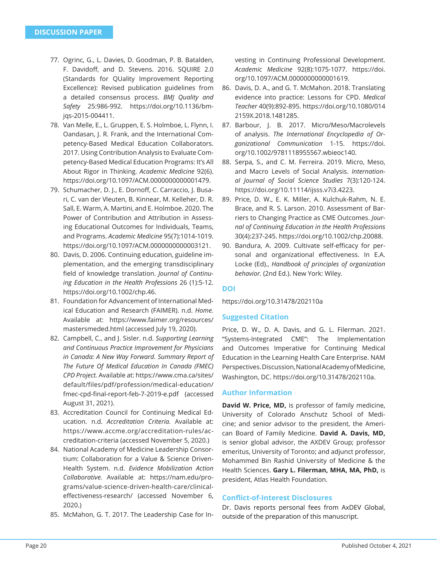- 77. Ogrinc, G., L. Davies, D. Goodman, P. B. Batalden, F. Davidoff, and D. Stevens. 2016. SQUIRE 2.0 (Standards for QUality Improvement Reporting Excellence): Revised publication guidelines from a detailed consensus process. *BMJ Quality and Safety* 25:986-992. https://doi.org/10.1136/bmjqs-2015-004411.
- 78. Van Melle, E., L. Gruppen, E. S. Holmboe, L. Flynn, I. Oandasan, J. R. Frank, and the International Competency-Based Medical Education Collaborators. 2017. Using Contribution Analysis to Evaluate Competency-Based Medical Education Programs: It's All About Rigor in Thinking. *Academic Medicine* 92(6). https://doi.org/10.1097/ACM.0000000000001479.
- 79. Schumacher, D. J., E. Dornoff, C. Carraccio, J. Busari, C. van der Vleuten, B. Kinnear, M. Kelleher, D. R. Sall, E. Warm, A. Martini, and E. Holmboe. 2020. The Power of Contribution and Attribution in Assessing Educational Outcomes for Individuals, Teams, and Programs. *Academic Medicine* 95(7):1014-1019. https://doi.org/10.1097/ACM.0000000000003121.
- 80. Davis, D. 2006. Continuing education, guideline implementation, and the emerging transdisciplinary field of knowledge translation. Journal of Continu*ing Education in the Health Professions* 26 (1):5-12. https://doi.org/10.1002/chp.46.
- 81. Foundation for Advancement of International Medical Education and Research (FAIMER). n.d. *Home.*  Available at: https://www.faimer.org/resources/ mastersmeded.html (accessed July 19, 2020).
- 82. Campbell, C., and J. Sisler. n.d. *Supporting Learning and Continuous Practice Improvement for Physicians in Canada: A New Way Forward. Summary Report of The Future Of Medical Education In Canada (FMEC) CPD Project.* Available at: https://www.cma.ca/sites/ default/files/pdf/profession/medical-education/ fmec-cpd-final-report-feb-7-2019-e.pdf (accessed August 31, 2021).
- 83. Accreditation Council for Continuing Medical Education. n.d. *Accreditation Criteria.* Available at: https://www.accme.org/accreditation-rules/accreditation-criteria (accessed November 5, 2020.)
- 84. National Academy of Medicine Leadership Consortium: Collaboration for a Value & Science Driven-Health System. n.d. *Evidence Mobilization Action Collaborative.* Available at: https://nam.edu/programs/value-science-driven-health-care/clinicaleffectiveness-research/ (accessed November 6, 2020.)
- 85. McMahon, G. T. 2017. The Leadership Case for In-

vesting in Continuing Professional Development. *Academic Medicine* 92(8):1075-1077. https://doi. org/10.1097/ACM.0000000000001619.

- 86. Davis, D. A., and G. T. McMahon. 2018. Translating evidence into practice: Lessons for CPD. *Medical Teacher* 40(9):892-895. https://doi.org/10.1080/014 2159X.2018.1481285.
- 87. Barbour, J. B. 2017. Micro/Meso/Macrolevels of analysis. *The International Encyclopedia of Organizational Communication* 1-15. https://doi. org/10.1002/9781118955567.wbieoc140.
- 88. Serpa, S., and C. M. Ferreira. 2019. Micro, Meso, and Macro Levels of Social Analysis. *International Journal of Social Science Studies* 7(3):120-124. https://doi.org/10.11114/ijsss.v7i3.4223.
- 89. Price, D. W., E. K. Miller, A. Kulchuk-Rahm, N. E. Brace, and R. S. Larson. 2010. Assessment of Barriers to Changing Practice as CME Outcomes. *Journal of Continuing Education in the Health Professions* 30(4):237-245. https://doi.org/10.1002/chp.20088.
- 90. Bandura, A. 2009. Cultivate self-efficacy for personal and organizational effectiveness. In E.A. Locke (Ed)., *Handbook of principles of organization behavior.* (2nd Ed.). New York: Wiley.

# **DOI**

https://doi.org/10.31478/202110a

# **Suggested Citation**

Price, D. W., D. A. Davis, and G. L. Filerman. 2021. "Systems-Integrated CME": The Implementation and Outcomes Imperative for Continuing Medical Education in the Learning Health Care Enterprise. NAM Perspectives. Discussion, National Academy of Medicine, Washington, DC. https://doi.org/10.31478/202110a.

#### **Author Information**

**David W. Price, MD,** is professor of family medicine, University of Colorado Anschutz School of Medicine; and senior advisor to the president, the American Board of Family Medicine. **David A. Davis, MD,** is senior global advisor, the AXDEV Group; professor emeritus, University of Toronto; and adjunct professor, Mohammed Bin Rashid University of Medicine & the Health Sciences. **Gary L. Filerman, MHA, MA, PhD,** is president, Atlas Health Foundation.

## **Confl ict-of-Interest Disclosures**

Dr. Davis reports personal fees from AxDEV Global, outside of the preparation of this manuscript.